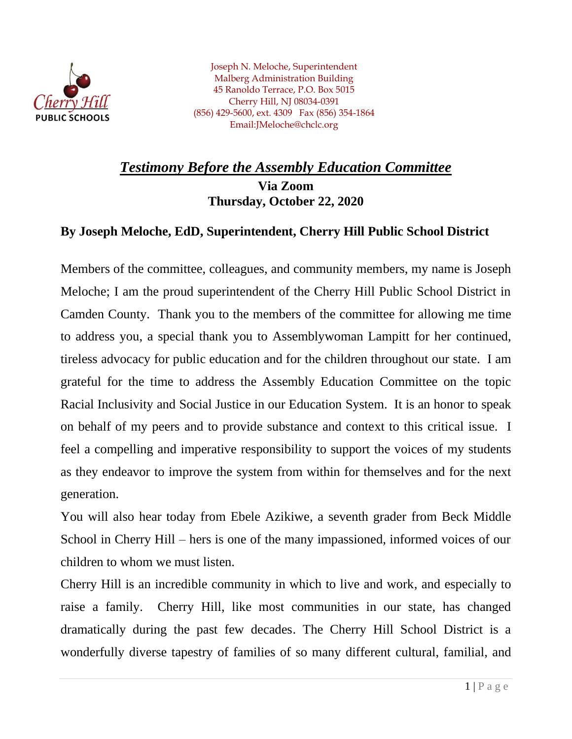

Joseph N. Meloche, Superintendent Malberg Administration Building 45 Ranoldo Terrace, P.O. Box 5015 Cherry Hill, NJ 08034-0391 (856) 429-5600, ext. 4309 Fax (856) 354-1864 Email:JMeloche@chclc.org

## *Testimony Before the Assembly Education Committee* **Via Zoom Thursday, October 22, 2020**

## **By Joseph Meloche, EdD, Superintendent, Cherry Hill Public School District**

Members of the committee, colleagues, and community members, my name is Joseph Meloche; I am the proud superintendent of the Cherry Hill Public School District in Camden County. Thank you to the members of the committee for allowing me time to address you, a special thank you to Assemblywoman Lampitt for her continued, tireless advocacy for public education and for the children throughout our state. I am grateful for the time to address the Assembly Education Committee on the topic Racial Inclusivity and Social Justice in our Education System. It is an honor to speak on behalf of my peers and to provide substance and context to this critical issue. I feel a compelling and imperative responsibility to support the voices of my students as they endeavor to improve the system from within for themselves and for the next generation.

You will also hear today from Ebele Azikiwe, a seventh grader from Beck Middle School in Cherry Hill – hers is one of the many impassioned, informed voices of our children to whom we must listen.

Cherry Hill is an incredible community in which to live and work, and especially to raise a family. Cherry Hill, like most communities in our state, has changed dramatically during the past few decades. The Cherry Hill School District is a wonderfully diverse tapestry of families of so many different cultural, familial, and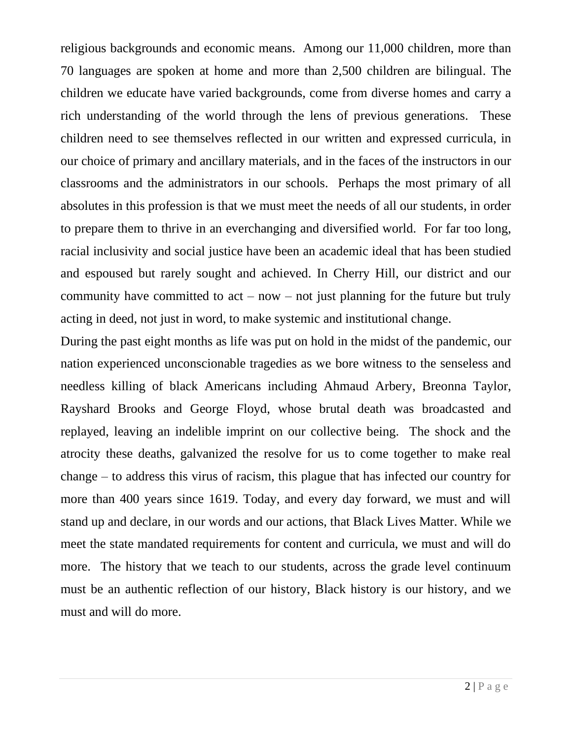religious backgrounds and economic means. Among our 11,000 children, more than 70 languages are spoken at home and more than 2,500 children are bilingual. The children we educate have varied backgrounds, come from diverse homes and carry a rich understanding of the world through the lens of previous generations. These children need to see themselves reflected in our written and expressed curricula, in our choice of primary and ancillary materials, and in the faces of the instructors in our classrooms and the administrators in our schools. Perhaps the most primary of all absolutes in this profession is that we must meet the needs of all our students, in order to prepare them to thrive in an everchanging and diversified world. For far too long, racial inclusivity and social justice have been an academic ideal that has been studied and espoused but rarely sought and achieved. In Cherry Hill, our district and our community have committed to  $act - now - not$  just planning for the future but truly acting in deed, not just in word, to make systemic and institutional change.

During the past eight months as life was put on hold in the midst of the pandemic, our nation experienced unconscionable tragedies as we bore witness to the senseless and needless killing of black Americans including Ahmaud Arbery, Breonna Taylor, Rayshard Brooks and George Floyd, whose brutal death was broadcasted and replayed, leaving an indelible imprint on our collective being. The shock and the atrocity these deaths, galvanized the resolve for us to come together to make real change – to address this virus of racism, this plague that has infected our country for more than 400 years since 1619. Today, and every day forward, we must and will stand up and declare, in our words and our actions, that Black Lives Matter. While we meet the state mandated requirements for content and curricula, we must and will do more. The history that we teach to our students, across the grade level continuum must be an authentic reflection of our history, Black history is our history, and we must and will do more.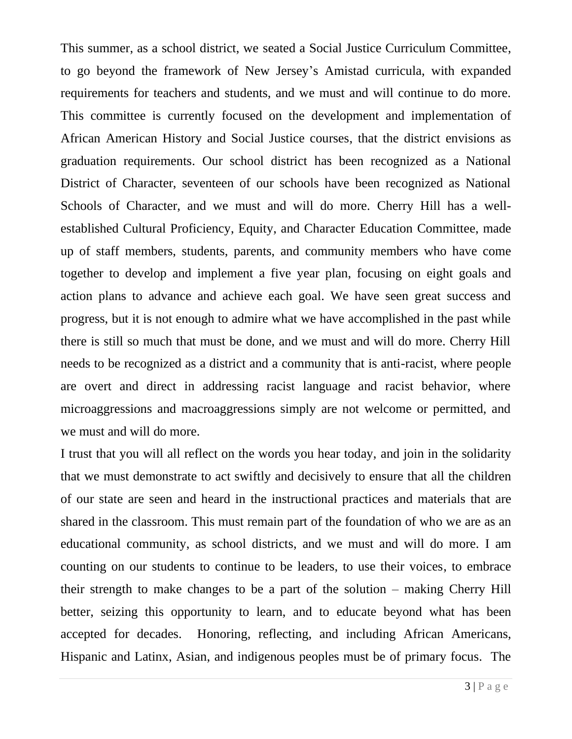This summer, as a school district, we seated a Social Justice Curriculum Committee, to go beyond the framework of New Jersey's Amistad curricula, with expanded requirements for teachers and students, and we must and will continue to do more. This committee is currently focused on the development and implementation of African American History and Social Justice courses, that the district envisions as graduation requirements. Our school district has been recognized as a National District of Character, seventeen of our schools have been recognized as National Schools of Character, and we must and will do more. Cherry Hill has a wellestablished Cultural Proficiency, Equity, and Character Education Committee, made up of staff members, students, parents, and community members who have come together to develop and implement a five year plan, focusing on eight goals and action plans to advance and achieve each goal. We have seen great success and progress, but it is not enough to admire what we have accomplished in the past while there is still so much that must be done, and we must and will do more. Cherry Hill needs to be recognized as a district and a community that is anti-racist, where people are overt and direct in addressing racist language and racist behavior, where microaggressions and macroaggressions simply are not welcome or permitted, and we must and will do more.

I trust that you will all reflect on the words you hear today, and join in the solidarity that we must demonstrate to act swiftly and decisively to ensure that all the children of our state are seen and heard in the instructional practices and materials that are shared in the classroom. This must remain part of the foundation of who we are as an educational community, as school districts, and we must and will do more. I am counting on our students to continue to be leaders, to use their voices, to embrace their strength to make changes to be a part of the solution – making Cherry Hill better, seizing this opportunity to learn, and to educate beyond what has been accepted for decades. Honoring, reflecting, and including African Americans, Hispanic and Latinx, Asian, and indigenous peoples must be of primary focus. The